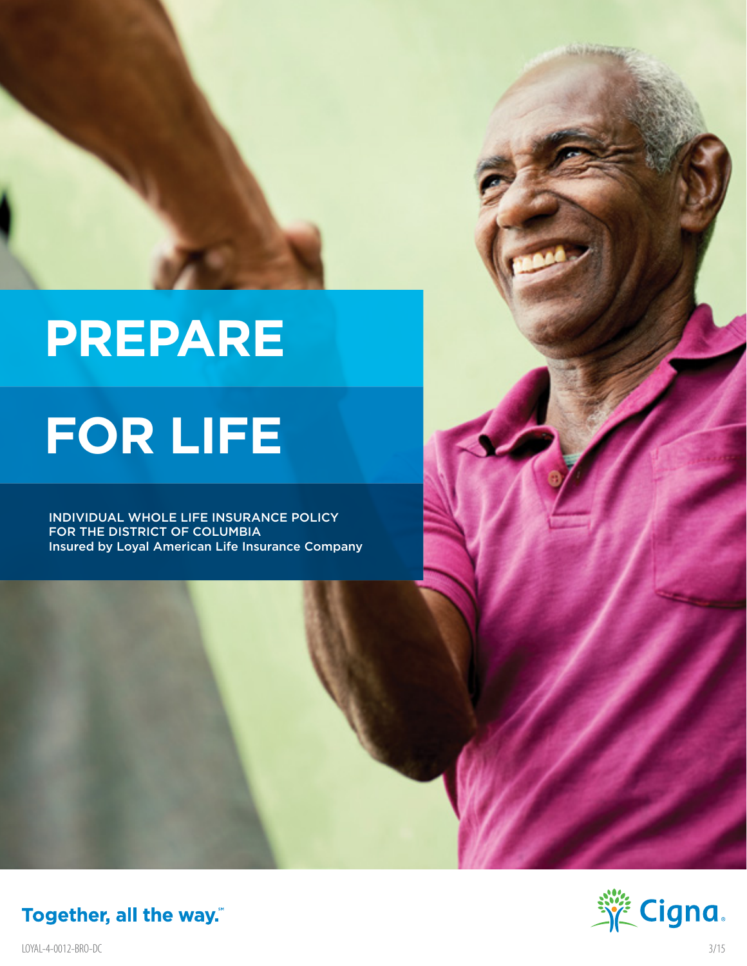

# **PREPARE**

# **FOR LIFE**

INDIVIDUAL WHOLE LIFE INSURANCE POLICY FOR THE DISTRICT OF COLUMBIA Insured by Loyal American Life Insurance Company



Together, all the way."

LOYAL-4-0012-BRO-DC 3/15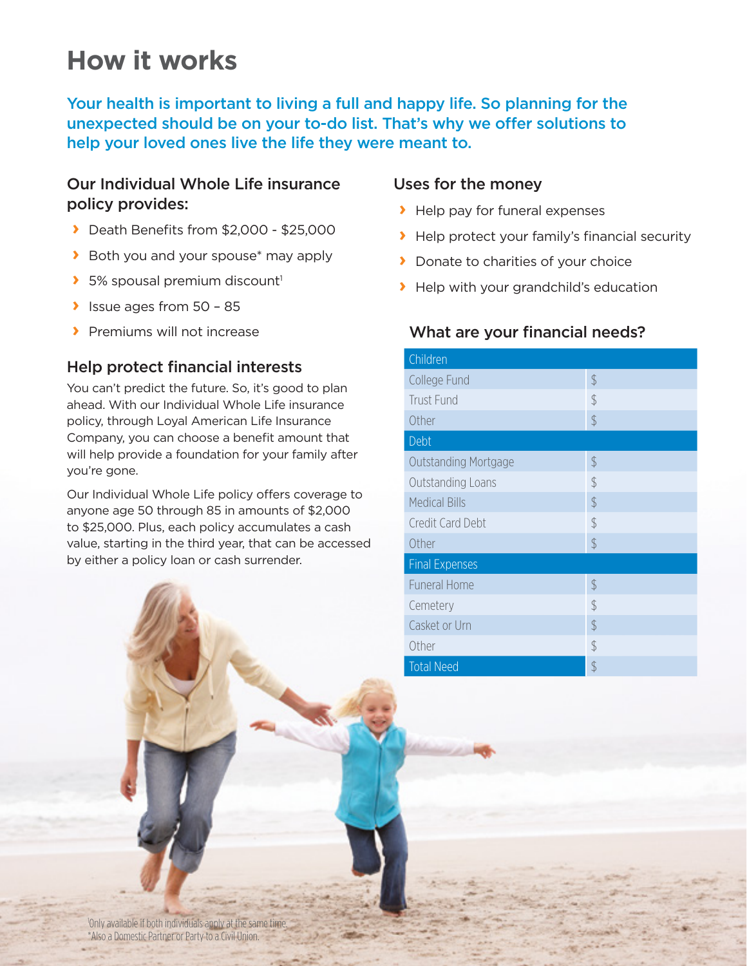## **How it works**

Your health is important to living a full and happy life. So planning for the unexpected should be on your to-do list. That's why we offer solutions to help your loved ones live the life they were meant to.

#### Our Individual Whole Life insurance policy provides:

- **›** Death Benefits from \$2,000 \$25,000
- **›** Both you and your spouse\* may apply
- **>** 5% spousal premium discount<sup>1</sup>
- **›** Issue ages from 50 85
- **›** Premiums will not increase

### Help protect financial interests

You can't predict the future. So, it's good to plan ahead. With our Individual Whole Life insurance policy, through Loyal American Life Insurance Company, you can choose a benefit amount that will help provide a foundation for your family after you're gone.

Our Individual Whole Life policy offers coverage to anyone age 50 through 85 in amounts of \$2,000 to \$25,000. Plus, each policy accumulates a cash value, starting in the third year, that can be accessed by either a policy loan or cash surrender.

#### Uses for the money

- **›** Help pay for funeral expenses
- **›** Help protect your family's financial security
- **›** Donate to charities of your choice
- **›** Help with your grandchild's education

#### What are your financial needs?

| Children                    |               |  |
|-----------------------------|---------------|--|
| College Fund                | $\frac{1}{2}$ |  |
| <b>Trust Fund</b>           | $\frac{1}{2}$ |  |
| Other                       | $\oint$       |  |
| Debt                        |               |  |
| <b>Outstanding Mortgage</b> | $\frac{1}{2}$ |  |
| Outstanding Loans           | $\frac{1}{2}$ |  |
| <b>Medical Bills</b>        | $\frac{1}{2}$ |  |
| Credit Card Debt            | $\frac{1}{2}$ |  |
| Other                       | $\frac{1}{2}$ |  |
| <b>Final Expenses</b>       |               |  |
| <b>Funeral Home</b>         | $\frac{1}{2}$ |  |
| Cemetery                    | $\frac{1}{2}$ |  |
| Casket or Urn               | $\frac{1}{2}$ |  |
| Other                       | $\frac{1}{2}$ |  |
| <b>Total Need</b>           | \$            |  |

1 Only available if both individuals apply at the same time. \*Also a Domestic Partner or Party to a Civil Union.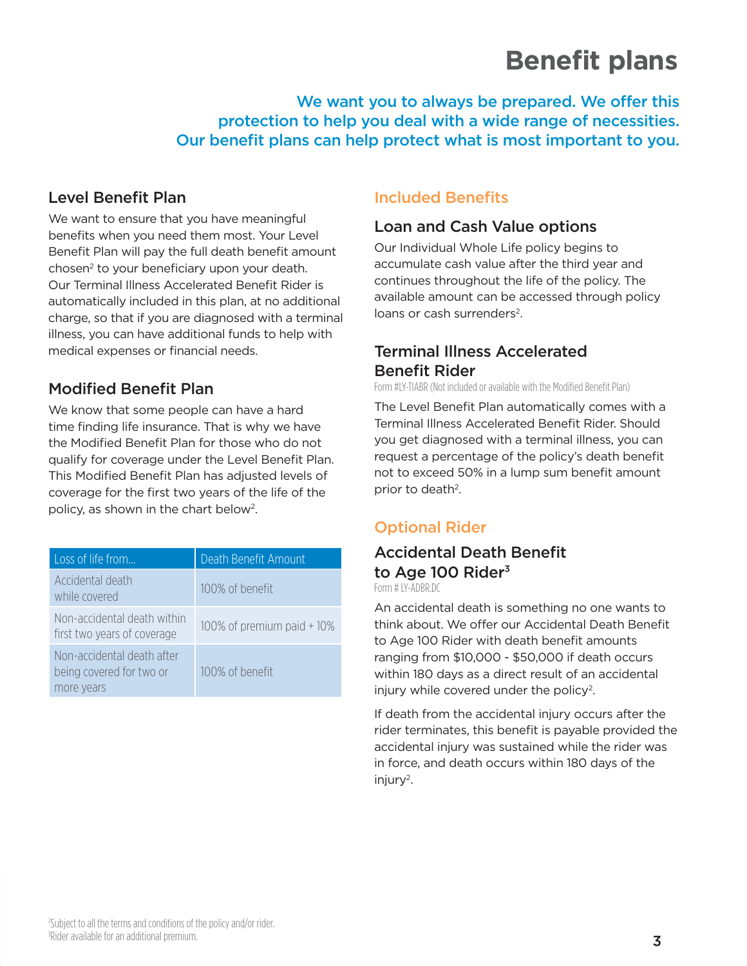## **Benefit plans**

We want you to always be prepared. We offer this protection to help you deal with a wide range of necessities. Our benefit plans can help protect what is most important to you.

#### Level Benefit Plan

We want to ensure that you have meaningful benefits when you need them most. Your Level Benefit Plan will pay the full death benefit amount chosen<sup>2</sup> to your beneficiary upon your death. Our Terminal Illness Accelerated Benefit Rider is automatically included in this plan, at no additional charge, so that if you are diagnosed with a terminal illness, you can have additional funds to help with medical expenses or financial needs.

## Modified Benefit Plan

We know that some people can have a hard time finding life insurance. That is why we have the Modified Benefit Plan for those who do not qualify for coverage under the Level Benefit Plan. This Modified Benefit Plan has adjusted levels of coverage for the first two years of the life of the policy, as shown in the chart below2.

| Loss of life from                                                    | Death Benefit Amount       |
|----------------------------------------------------------------------|----------------------------|
| Accidental death<br>while covered                                    | 100% of benefit            |
| Non-accidental death within<br>first two years of coverage           | 100% of premium paid + 10% |
| Non-accidental death after<br>being covered for two or<br>more years | 100% of benefit            |

### Included Benefits

#### Loan and Cash Value options

Our Individual Whole Life policy begins to accumulate cash value after the third year and continues throughout the life of the policy. The available amount can be accessed through policy loans or cash surrenders<sup>2</sup>

## Terminal Illness Accelerated Benefit Rider

Form #LY-TIABR (Not included or available with the Modified Benefit Plan)

The Level Benefit Plan automatically comes with a Terminal Illness Accelerated Benefit Rider. Should you get diagnosed with a terminal illness, you can request a percentage of the policy's death benefit not to exceed 50% in a lump sum benefit amount prior to death<sup>2</sup>.

## Optional Rider

## Accidental Death Benefit to Age 100 Rider<sup>3</sup>

Form # IY-ADBR DC

An accidental death is something no one wants to think about. We offer our Accidental Death Benefit to Age 100 Rider with death benefit amounts ranging from \$10,000 - \$50,000 if death occurs within 180 days as a direct result of an accidental injury while covered under the policy<sup>2</sup>.

If death from the accidental injury occurs after the rider terminates, this benefit is payable provided the accidental injury was sustained while the rider was in force, and death occurs within 180 days of the  $injury<sup>2</sup>$ .